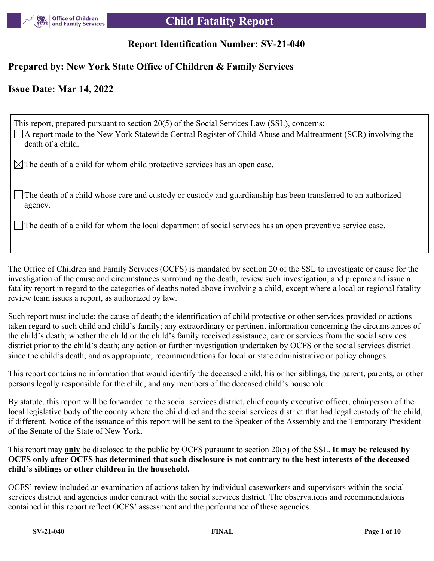

### **Report Identification Number: SV-21-040**

#### **Prepared by: New York State Office of Children & Family Services**

#### **Issue Date: Mar 14, 2022**

| This report, prepared pursuant to section 20(5) of the Social Services Law (SSL), concerns:<br>$\Box$ A report made to the New York Statewide Central Register of Child Abuse and Maltreatment (SCR) involving the<br>death of a child. |
|-----------------------------------------------------------------------------------------------------------------------------------------------------------------------------------------------------------------------------------------|
| $\boxtimes$ The death of a child for whom child protective services has an open case.                                                                                                                                                   |
| The death of a child whose care and custody or custody and guardianship has been transferred to an authorized<br>agency.                                                                                                                |
| $\Box$ The death of a child for whom the local department of social services has an open preventive service case.                                                                                                                       |

The Office of Children and Family Services (OCFS) is mandated by section 20 of the SSL to investigate or cause for the investigation of the cause and circumstances surrounding the death, review such investigation, and prepare and issue a fatality report in regard to the categories of deaths noted above involving a child, except where a local or regional fatality review team issues a report, as authorized by law.

Such report must include: the cause of death; the identification of child protective or other services provided or actions taken regard to such child and child's family; any extraordinary or pertinent information concerning the circumstances of the child's death; whether the child or the child's family received assistance, care or services from the social services district prior to the child's death; any action or further investigation undertaken by OCFS or the social services district since the child's death; and as appropriate, recommendations for local or state administrative or policy changes.

This report contains no information that would identify the deceased child, his or her siblings, the parent, parents, or other persons legally responsible for the child, and any members of the deceased child's household.

By statute, this report will be forwarded to the social services district, chief county executive officer, chairperson of the local legislative body of the county where the child died and the social services district that had legal custody of the child, if different. Notice of the issuance of this report will be sent to the Speaker of the Assembly and the Temporary President of the Senate of the State of New York.

This report may **only** be disclosed to the public by OCFS pursuant to section 20(5) of the SSL. **It may be released by OCFS only after OCFS has determined that such disclosure is not contrary to the best interests of the deceased child's siblings or other children in the household.**

OCFS' review included an examination of actions taken by individual caseworkers and supervisors within the social services district and agencies under contract with the social services district. The observations and recommendations contained in this report reflect OCFS' assessment and the performance of these agencies.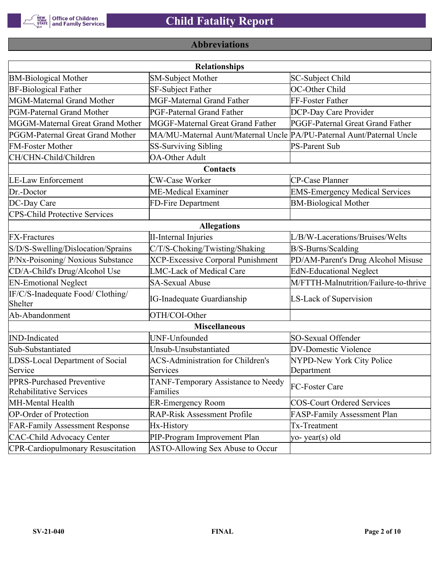

## **Abbreviations**

| <b>Relationships</b>                                 |                                                                       |                                       |  |  |  |
|------------------------------------------------------|-----------------------------------------------------------------------|---------------------------------------|--|--|--|
| <b>BM-Biological Mother</b>                          | <b>SM-Subject Mother</b>                                              | SC-Subject Child                      |  |  |  |
| <b>BF-Biological Father</b>                          | <b>SF-Subject Father</b>                                              | OC-Other Child                        |  |  |  |
| MGM-Maternal Grand Mother                            | <b>MGF-Maternal Grand Father</b>                                      | FF-Foster Father                      |  |  |  |
| PGM-Paternal Grand Mother                            | PGF-Paternal Grand Father                                             | DCP-Day Care Provider                 |  |  |  |
| MGGM-Maternal Great Grand Mother                     | MGGF-Maternal Great Grand Father                                      | PGGF-Paternal Great Grand Father      |  |  |  |
| PGGM-Paternal Great Grand Mother                     | MA/MU-Maternal Aunt/Maternal Uncle PA/PU-Paternal Aunt/Paternal Uncle |                                       |  |  |  |
| <b>FM-Foster Mother</b>                              | <b>SS-Surviving Sibling</b>                                           | <b>PS-Parent Sub</b>                  |  |  |  |
| CH/CHN-Child/Children                                | <b>OA-Other Adult</b>                                                 |                                       |  |  |  |
|                                                      | Contacts                                                              |                                       |  |  |  |
| <b>LE-Law Enforcement</b>                            | <b>CW-Case Worker</b>                                                 | CP-Case Planner                       |  |  |  |
| Dr.-Doctor                                           | ME-Medical Examiner                                                   | <b>EMS-Emergency Medical Services</b> |  |  |  |
| DC-Day Care                                          | FD-Fire Department                                                    | <b>BM-Biological Mother</b>           |  |  |  |
| <b>CPS-Child Protective Services</b>                 |                                                                       |                                       |  |  |  |
|                                                      | <b>Allegations</b>                                                    |                                       |  |  |  |
| <b>FX-Fractures</b>                                  | <b>II-Internal Injuries</b>                                           | L/B/W-Lacerations/Bruises/Welts       |  |  |  |
| S/D/S-Swelling/Dislocation/Sprains                   | C/T/S-Choking/Twisting/Shaking                                        | B/S-Burns/Scalding                    |  |  |  |
| P/Nx-Poisoning/ Noxious Substance                    | <b>XCP-Excessive Corporal Punishment</b>                              | PD/AM-Parent's Drug Alcohol Misuse    |  |  |  |
| CD/A-Child's Drug/Alcohol Use                        | <b>LMC-Lack of Medical Care</b>                                       | <b>EdN-Educational Neglect</b>        |  |  |  |
| <b>EN-Emotional Neglect</b>                          | <b>SA-Sexual Abuse</b>                                                | M/FTTH-Malnutrition/Failure-to-thrive |  |  |  |
| IF/C/S-Inadequate Food/ Clothing/<br>Shelter         | <b>IG-Inadequate Guardianship</b>                                     | LS-Lack of Supervision                |  |  |  |
| Ab-Abandonment                                       | OTH/COI-Other                                                         |                                       |  |  |  |
|                                                      | <b>Miscellaneous</b>                                                  |                                       |  |  |  |
| <b>IND-Indicated</b>                                 | UNF-Unfounded                                                         | SO-Sexual Offender                    |  |  |  |
| Sub-Substantiated                                    | Unsub-Unsubstantiated                                                 | <b>DV-Domestic Violence</b>           |  |  |  |
| LDSS-Local Department of Social                      | <b>ACS-Administration for Children's</b>                              | NYPD-New York City Police             |  |  |  |
| Service                                              | Services                                                              | Department                            |  |  |  |
| PPRS-Purchased Preventive<br>Rehabilitative Services | TANF-Temporary Assistance to Needy<br>Families                        | FC-Foster Care                        |  |  |  |
| MH-Mental Health                                     | <b>ER-Emergency Room</b>                                              | <b>COS-Court Ordered Services</b>     |  |  |  |
| <b>OP-Order of Protection</b>                        | <b>RAP-Risk Assessment Profile</b>                                    | FASP-Family Assessment Plan           |  |  |  |
| <b>FAR-Family Assessment Response</b>                | Hx-History                                                            | Tx-Treatment                          |  |  |  |
| <b>CAC-Child Advocacy Center</b>                     | PIP-Program Improvement Plan                                          | yo-year(s) old                        |  |  |  |
| <b>CPR-Cardiopulmonary Resuscitation</b>             | ASTO-Allowing Sex Abuse to Occur                                      |                                       |  |  |  |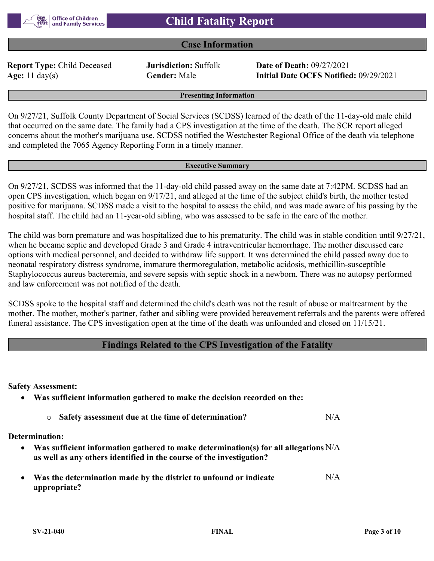

#### **Case Information**

**Report Type:** Child Deceased **Jurisdiction:** Suffolk **Date of Death:** 09/27/2021

**Age:** 11 day(s) **Gender:** Male **Initial Date OCFS Notified:** 09/29/2021

**Presenting Information**

On 9/27/21, Suffolk County Department of Social Services (SCDSS) learned of the death of the 11-day-old male child that occurred on the same date. The family had a CPS investigation at the time of the death. The SCR report alleged concerns about the mother's marijuana use. SCDSS notified the Westchester Regional Office of the death via telephone and completed the 7065 Agency Reporting Form in a timely manner.

#### **Executive Summary**

On 9/27/21, SCDSS was informed that the 11-day-old child passed away on the same date at 7:42PM. SCDSS had an open CPS investigation, which began on 9/17/21, and alleged at the time of the subject child's birth, the mother tested positive for marijuana. SCDSS made a visit to the hospital to assess the child, and was made aware of his passing by the hospital staff. The child had an 11-year-old sibling, who was assessed to be safe in the care of the mother.

The child was born premature and was hospitalized due to his prematurity. The child was in stable condition until 9/27/21, when he became septic and developed Grade 3 and Grade 4 intraventricular hemorrhage. The mother discussed care options with medical personnel, and decided to withdraw life support. It was determined the child passed away due to neonatal respiratory distress syndrome, immature thermoregulation, metabolic acidosis, methicillin-susceptible Staphylococcus aureus bacteremia, and severe sepsis with septic shock in a newborn. There was no autopsy performed and law enforcement was not notified of the death.

SCDSS spoke to the hospital staff and determined the child's death was not the result of abuse or maltreatment by the mother. The mother, mother's partner, father and sibling were provided bereavement referrals and the parents were offered funeral assistance. The CPS investigation open at the time of the death was unfounded and closed on 11/15/21.

#### **Findings Related to the CPS Investigation of the Fatality**

**Safety Assessment:**

|  |  | Was sufficient information gathered to make the decision recorded on the: |
|--|--|---------------------------------------------------------------------------|
|--|--|---------------------------------------------------------------------------|

o **Safety assessment due at the time of determination?** N/A

**Determination:**

- **Was sufficient information gathered to make determination(s) for all allegations**  N/A **as well as any others identified in the course of the investigation?**
- **Was the determination made by the district to unfound or indicate appropriate?** N/A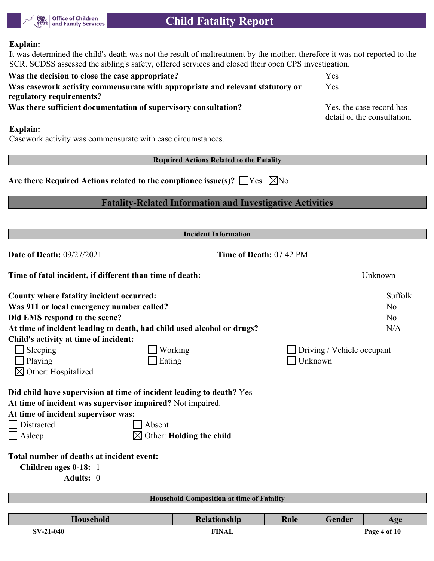

#### **Explain:**

It was determined the child's death was not the result of maltreatment by the mother, therefore it was not reported to the SCR. SCDSS assessed the sibling's safety, offered services and closed their open CPS investigation.

| Was the decision to close the case appropriate?                               | Yes                         |
|-------------------------------------------------------------------------------|-----------------------------|
| Was casework activity commensurate with appropriate and relevant statutory or | Yes                         |
| regulatory requirements?                                                      |                             |
| Was there sufficient documentation of supervisory consultation?               | Yes, the case record has    |
|                                                                               | detail of the consultation. |

#### **Explain:**

Casework activity was commensurate with case circumstances.

**Required Actions Related to the Fatality**

Are there Required Actions related to the compliance issue(s)?  $\Box$  Yes  $\Box$  No

#### **Fatality-Related Information and Investigative Activities**

|                                                                        | <b>Incident Information</b>                                         |                                                  |      |         |                |  |  |  |  |
|------------------------------------------------------------------------|---------------------------------------------------------------------|--------------------------------------------------|------|---------|----------------|--|--|--|--|
| <b>Date of Death: 09/27/2021</b>                                       | Time of Death: 07:42 PM                                             |                                                  |      |         |                |  |  |  |  |
|                                                                        | Time of fatal incident, if different than time of death:<br>Unknown |                                                  |      |         |                |  |  |  |  |
| County where fatality incident occurred:                               |                                                                     |                                                  |      |         | Suffolk        |  |  |  |  |
| Was 911 or local emergency number called?                              |                                                                     |                                                  | No   |         |                |  |  |  |  |
| Did EMS respond to the scene?                                          |                                                                     |                                                  |      |         | N <sub>o</sub> |  |  |  |  |
| At time of incident leading to death, had child used alcohol or drugs? |                                                                     |                                                  |      |         |                |  |  |  |  |
| Child's activity at time of incident:                                  |                                                                     |                                                  |      |         |                |  |  |  |  |
| Sleeping<br>Working<br>Driving / Vehicle occupant                      |                                                                     |                                                  |      |         |                |  |  |  |  |
| Playing                                                                | Eating                                                              |                                                  |      | Unknown |                |  |  |  |  |
| Other: Hospitalized                                                    |                                                                     |                                                  |      |         |                |  |  |  |  |
|                                                                        |                                                                     |                                                  |      |         |                |  |  |  |  |
| Did child have supervision at time of incident leading to death? Yes   |                                                                     |                                                  |      |         |                |  |  |  |  |
| At time of incident was supervisor impaired? Not impaired.             |                                                                     |                                                  |      |         |                |  |  |  |  |
| At time of incident supervisor was:                                    |                                                                     |                                                  |      |         |                |  |  |  |  |
| Distracted                                                             | Absent                                                              |                                                  |      |         |                |  |  |  |  |
| Asleep                                                                 |                                                                     | Other: Holding the child                         |      |         |                |  |  |  |  |
|                                                                        |                                                                     |                                                  |      |         |                |  |  |  |  |
| Total number of deaths at incident event:                              |                                                                     |                                                  |      |         |                |  |  |  |  |
| Children ages 0-18: 1                                                  |                                                                     |                                                  |      |         |                |  |  |  |  |
| Adults: 0                                                              |                                                                     |                                                  |      |         |                |  |  |  |  |
|                                                                        |                                                                     |                                                  |      |         |                |  |  |  |  |
|                                                                        |                                                                     | <b>Household Composition at time of Fatality</b> |      |         |                |  |  |  |  |
| Household                                                              |                                                                     |                                                  |      | Gender  |                |  |  |  |  |
|                                                                        |                                                                     | Relationship                                     | Role |         | Age            |  |  |  |  |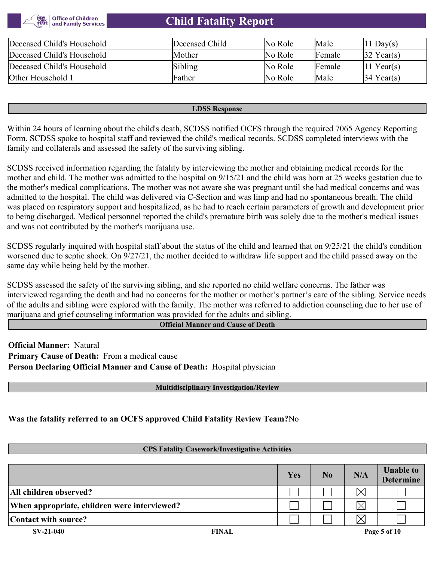

| Deceased Child's Household | Deceased Child | No Role | Male   | $ 11 \text{ Day}(s) $  |
|----------------------------|----------------|---------|--------|------------------------|
| Deceased Child's Household | Mother         | No Role | Female | $ 32 \text{ Year}(s) $ |
| Deceased Child's Household | Sibling        | No Role | Female | $ 11 \text{ Year}(s) $ |
| Other Household 1          | Father         | No Role | Male   | $34$ Year(s)           |

#### **LDSS Response**

Within 24 hours of learning about the child's death, SCDSS notified OCFS through the required 7065 Agency Reporting Form. SCDSS spoke to hospital staff and reviewed the child's medical records. SCDSS completed interviews with the family and collaterals and assessed the safety of the surviving sibling.

SCDSS received information regarding the fatality by interviewing the mother and obtaining medical records for the mother and child. The mother was admitted to the hospital on 9/15/21 and the child was born at 25 weeks gestation due to the mother's medical complications. The mother was not aware she was pregnant until she had medical concerns and was admitted to the hospital. The child was delivered via C-Section and was limp and had no spontaneous breath. The child was placed on respiratory support and hospitalized, as he had to reach certain parameters of growth and development prior to being discharged. Medical personnel reported the child's premature birth was solely due to the mother's medical issues and was not contributed by the mother's marijuana use.

SCDSS regularly inquired with hospital staff about the status of the child and learned that on 9/25/21 the child's condition worsened due to septic shock. On 9/27/21, the mother decided to withdraw life support and the child passed away on the same day while being held by the mother.

SCDSS assessed the safety of the surviving sibling, and she reported no child welfare concerns. The father was interviewed regarding the death and had no concerns for the mother or mother's partner's care of the sibling. Service needs of the adults and sibling were explored with the family. The mother was referred to addiction counseling due to her use of marijuana and grief counseling information was provided for the adults and sibling.

#### **Official Manner and Cause of Death**

**Official Manner:** Natural **Primary Cause of Death:** From a medical cause **Person Declaring Official Manner and Cause of Death:** Hospital physician

#### **Multidisciplinary Investigation/Review**

**Was the fatality referred to an OCFS approved Child Fatality Review Team?**No

#### **CPS Fatality Casework/Investigative Activities**

|                                              |              | Yes | No | N/A      | <b>Unable to</b><br><b>Determine</b> |
|----------------------------------------------|--------------|-----|----|----------|--------------------------------------|
| All children observed?                       |              |     |    | $\times$ |                                      |
| When appropriate, children were interviewed? |              |     |    | $\times$ |                                      |
| Contact with source?                         |              |     |    | $\times$ |                                      |
| $SV-21-040$                                  | <b>FINAL</b> |     |    |          | Page 5 of 10                         |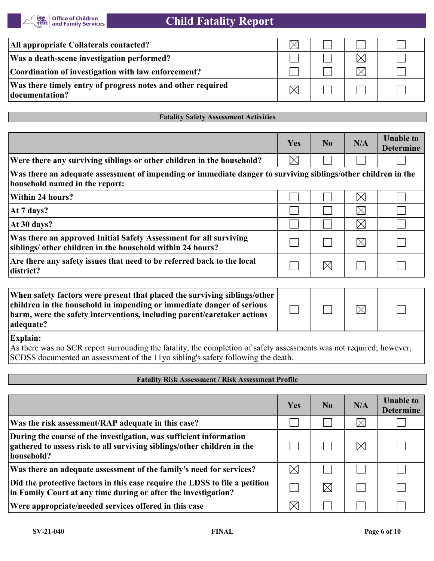| All appropriate Collaterals contacted?                                         |  |  |
|--------------------------------------------------------------------------------|--|--|
| Was a death-scene investigation performed?                                     |  |  |
| Coordination of investigation with law enforcement?                            |  |  |
| Was there timely entry of progress notes and other required<br> documentation? |  |  |

#### **Fatality Safety Assessment Activities**

|                                                                                                                                                 | Yes         | No       | N/A         | <b>Unable to</b><br><b>Determine</b> |
|-------------------------------------------------------------------------------------------------------------------------------------------------|-------------|----------|-------------|--------------------------------------|
| Were there any surviving siblings or other children in the household?                                                                           | $\boxtimes$ |          |             |                                      |
| Was there an adequate assessment of impending or immediate danger to surviving siblings/other children in the<br>household named in the report: |             |          |             |                                      |
| Within 24 hours?                                                                                                                                |             |          | $\boxtimes$ |                                      |
| At 7 days?                                                                                                                                      |             |          | $\boxtimes$ |                                      |
| At 30 days?                                                                                                                                     |             |          | $\boxtimes$ |                                      |
| Was there an approved Initial Safety Assessment for all surviving<br>siblings/ other children in the household within 24 hours?                 |             |          | $\bowtie$   |                                      |
| Are there any safety issues that need to be referred back to the local<br>district?                                                             |             | $\times$ |             |                                      |

| When safety factors were present that placed the surviving siblings/other<br>children in the household in impending or immediate danger of serious<br>harm, were the safety interventions, including parent/caretaker actions<br>adequate? |  | $\times$ |  |
|--------------------------------------------------------------------------------------------------------------------------------------------------------------------------------------------------------------------------------------------|--|----------|--|
| <b>Explain:</b>                                                                                                                                                                                                                            |  |          |  |

As there was no SCR report surrounding the fatality, the completion of safety assessments was not required; however, SCDSS documented an assessment of the 11yo sibling's safety following the death.

#### **Fatality Risk Assessment / Risk Assessment Profile**

|                                                                                                                                                             | Yes         | N <sub>0</sub> | N/A         | <b>Unable to</b><br><b>Determine</b> |
|-------------------------------------------------------------------------------------------------------------------------------------------------------------|-------------|----------------|-------------|--------------------------------------|
| Was the risk assessment/RAP adequate in this case?                                                                                                          |             |                | $\boxtimes$ |                                      |
| During the course of the investigation, was sufficient information<br>gathered to assess risk to all surviving siblings/other children in the<br>household? |             |                | $\boxtimes$ |                                      |
| Was there an adequate assessment of the family's need for services?                                                                                         | $\boxtimes$ |                |             |                                      |
| Did the protective factors in this case require the LDSS to file a petition<br>in Family Court at any time during or after the investigation?               |             | $\boxtimes$    |             |                                      |
| Were appropriate/needed services offered in this case                                                                                                       |             |                |             |                                      |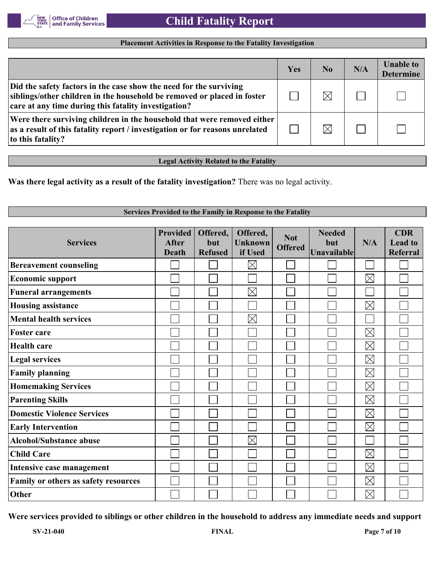

#### **Placement Activities in Response to the Fatality Investigation**

|                                                                                                                                                                                                       | Yes | N <sub>0</sub> | N/A | <b>Unable to</b><br><b>Determine</b> |
|-------------------------------------------------------------------------------------------------------------------------------------------------------------------------------------------------------|-----|----------------|-----|--------------------------------------|
| Did the safety factors in the case show the need for the surviving<br>siblings/other children in the household be removed or placed in foster<br>care at any time during this fatality investigation? |     | $\boxtimes$    |     |                                      |
| Were there surviving children in the household that were removed either<br>as a result of this fatality report / investigation or for reasons unrelated<br>to this fatality?                          |     | $\boxtimes$    |     |                                      |

**Legal Activity Related to the Fatality**

**Was there legal activity as a result of the fatality investigation?** There was no legal activity.

#### **Services Provided to the Family in Response to the Fatality Provided Offered, CDR Offered, Needed Not Services After but Unknown but N/A Lead to Offered Unavailable Death Refused if Used Referral**  $\boxtimes$ **Bereavement counseling**  $\Box$  $\boxtimes$  $\mathbb{R}^2$ **Economic support Funeral arrangements**  $\times$ n.  $\boxtimes$ **Housing assistance**  $\overline{\phantom{0}}$  $\boxtimes$ **Mental health services**  $\boxtimes$ **Foster care**  $\overline{a}$  $\overline{\phantom{a}}$  $\boxtimes$ **Health care**  $\overline{\phantom{0}}$  $\boxtimes$ **Legal services**  $\boxtimes$ **Family planning**  $\boxtimes$ **Homemaking Services**  $\boxtimes$ **Parenting Skills**  $\mathbb{R}^n$  $\sim$  $\boxtimes$ **Domestic Violence Services**  $\boxtimes$ **Early Intervention**  $\boxtimes$  $\Box$ **Alcohol/Substance abuse**  $\boxtimes$ **Child Care**  $\mathbf{I}$ **Intensive case management** Ξ  $\boxtimes$  $\mathbb{R}^2$  $\boxtimes$ **Family or others as safety resources**  $\boxtimes$ **Other**

**Were services provided to siblings or other children in the household to address any immediate needs and support**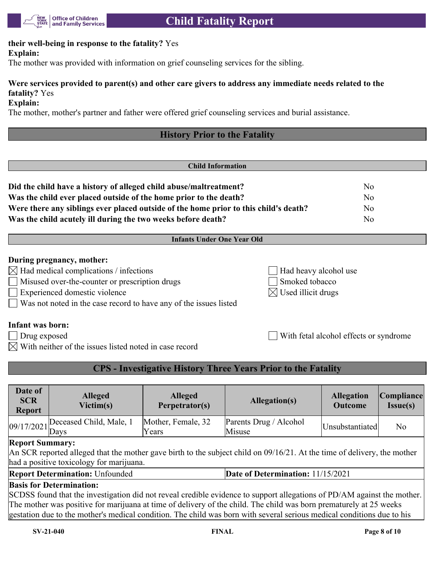

#### **their well-being in response to the fatality?** Yes **Explain:**

The mother was provided with information on grief counseling services for the sibling.

### **Were services provided to parent(s) and other care givers to address any immediate needs related to the fatality?** Yes

**Explain:**

The mother, mother's partner and father were offered grief counseling services and burial assistance.

## **History Prior to the Fatality**

| <b>Child Information</b>                                                                                                                                                                                                                |                                                                      |                                        |  |  |
|-----------------------------------------------------------------------------------------------------------------------------------------------------------------------------------------------------------------------------------------|----------------------------------------------------------------------|----------------------------------------|--|--|
| Did the child have a history of alleged child abuse/maltreatment?<br>Was the child ever placed outside of the home prior to the death?<br>Were there any siblings ever placed outside of the home prior to this child's death?          |                                                                      | No<br>N <sub>0</sub><br>N <sub>o</sub> |  |  |
| Was the child acutely ill during the two weeks before death?                                                                                                                                                                            |                                                                      | N <sub>o</sub>                         |  |  |
| <b>Infants Under One Year Old</b>                                                                                                                                                                                                       |                                                                      |                                        |  |  |
| During pregnancy, mother:<br>$\boxtimes$ Had medical complications / infections<br>Misused over-the-counter or prescription drugs<br>Experienced domestic violence<br>Was not noted in the case record to have any of the issues listed | Had heavy alcohol use<br>Smoked tobacco<br>Used illicit drugs<br>IXI |                                        |  |  |

#### **Infant was born:**

Drug exposed With fetal alcohol effects or syndrome

 $\boxtimes$  With neither of the issues listed noted in case record

#### **CPS - Investigative History Three Years Prior to the Fatality**

| Date of<br><b>SCR</b><br><b>Report</b> | <b>Alleged</b><br>Victim(s) | <b>Alleged</b><br>Perpetrator(s) | Allegation(s)                    | <b>Allegation</b><br><b>Outcome</b> | Compliance <br>Issue(s) |
|----------------------------------------|-----------------------------|----------------------------------|----------------------------------|-------------------------------------|-------------------------|
| $\sqrt{9/17/2021}$ Days                | Deceased Child, Male, 1     | Mother, Female, 32<br>Years      | Parents Drug / Alcohol<br>Misuse | Unsubstantiated                     | No                      |
| Renort Summary:                        |                             |                                  |                                  |                                     |                         |

#### **Report Summary:**

An SCR reported alleged that the mother gave birth to the subject child on 09/16/21. At the time of delivery, the mother had a positive toxicology for marijuana.

**Report Determination:** Unfounded **Date of Determination:** 11/15/2021

#### **Basis for Determination:**

SCDSS found that the investigation did not reveal credible evidence to support allegations of PD/AM against the mother. The mother was positive for marijuana at time of delivery of the child. The child was born prematurely at 25 weeks gestation due to the mother's medical condition. The child was born with several serious medical conditions due to his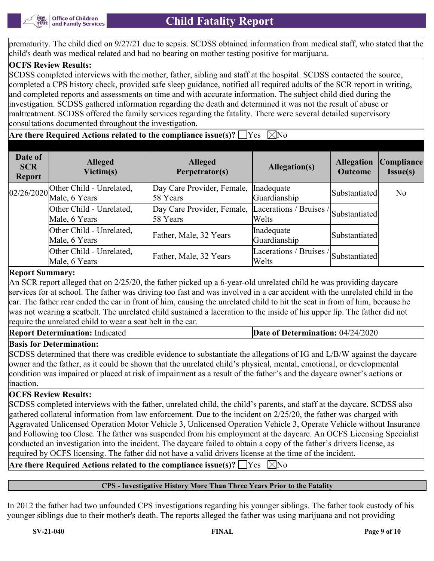

prematurity. The child died on 9/27/21 due to sepsis. SCDSS obtained information from medical staff, who stated that the child's death was medical related and had no bearing on mother testing positive for marijuana.

#### **OCFS Review Results:**

SCDSS completed interviews with the mother, father, sibling and staff at the hospital. SCDSS contacted the source, completed a CPS history check, provided safe sleep guidance, notified all required adults of the SCR report in writing, and completed reports and assessments on time and with accurate information. The subject child died during the investigation. SCDSS gathered information regarding the death and determined it was not the result of abuse or maltreatment. SCDSS offered the family services regarding the fatality. There were several detailed supervisory consultations documented throughout the investigation.

**Are there Required Actions related to the compliance issue(s)?**  $\Box$  Yes  $\Box$  No

| Date of<br><b>SCR</b><br><b>Report</b> | <b>Alleged</b><br>Victim(s)                                  | <b>Alleged</b><br>Perpetrator(s)       | Allegation(s)                                           | <b>Allegation</b><br><b>Outcome</b> | Compliance <br>Isue(s) |
|----------------------------------------|--------------------------------------------------------------|----------------------------------------|---------------------------------------------------------|-------------------------------------|------------------------|
|                                        | $\left  \frac{02}{26/2020} \right $ Other Child - Unrelated, | Day Care Provider, Female,<br>58 Years | Inadequate<br>Guardianship                              | Substantiated                       | N <sub>o</sub>         |
|                                        | Other Child - Unrelated,<br>Male, 6 Years                    | Day Care Provider, Female,<br>58 Years | Lacerations / Bruises /<br>Welts                        | Substantiated                       |                        |
|                                        | Other Child - Unrelated,<br>Male, 6 Years                    | Father, Male, 32 Years                 | Inadequate<br>Guardianship                              | Substantiated                       |                        |
|                                        | Other Child - Unrelated,<br>Male, 6 Years                    | Father, Male, 32 Years                 | $\sqrt{Lacerations / Bruisse / Substantiated}$<br>Welts |                                     |                        |

#### **Report Summary:**

An SCR report alleged that on 2/25/20, the father picked up a 6-year-old unrelated child he was providing daycare services for at school. The father was driving too fast and was involved in a car accident with the unrelated child in the car. The father rear ended the car in front of him, causing the unrelated child to hit the seat in from of him, because he was not wearing a seatbelt. The unrelated child sustained a laceration to the inside of his upper lip. The father did not require the unrelated child to wear a seat belt in the car.

**Report Determination:** Indicated **Date of Determination: 04/24/2020** 

#### **Basis for Determination:**

SCDSS determined that there was credible evidence to substantiate the allegations of IG and L/B/W against the daycare owner and the father, as it could be shown that the unrelated child's physical, mental, emotional, or developmental condition was impaired or placed at risk of impairment as a result of the father's and the daycare owner's actions or inaction.

#### **OCFS Review Results:**

SCDSS completed interviews with the father, unrelated child, the child's parents, and staff at the daycare. SCDSS also gathered collateral information from law enforcement. Due to the incident on 2/25/20, the father was charged with Aggravated Unlicensed Operation Motor Vehicle 3, Unlicensed Operation Vehicle 3, Operate Vehicle without Insurance and Following too Close. The father was suspended from his employment at the daycare. An OCFS Licensing Specialist conducted an investigation into the incident. The daycare failed to obtain a copy of the father's drivers license, as required by OCFS licensing. The father did not have a valid drivers license at the time of the incident.

**Are there Required Actions related to the compliance issue(s)?**  $\Box$  Yes  $\Box$  No

#### **CPS - Investigative History More Than Three Years Prior to the Fatality**

In 2012 the father had two unfounded CPS investigations regarding his younger siblings. The father took custody of his younger siblings due to their mother's death. The reports alleged the father was using marijuana and not providing